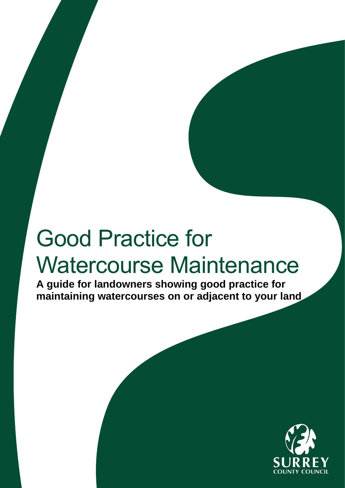# Good Practice for Watercourse Maintenance

**A guide for landowners showing good practice for maintaining watercourses on or adjacent to your land**

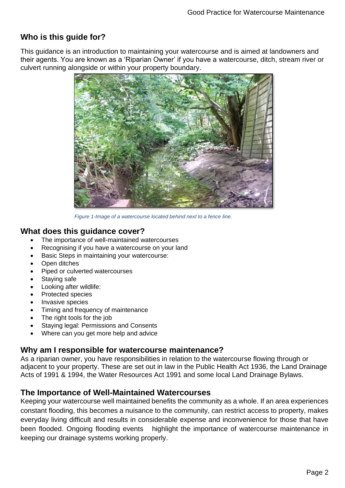# **Who is this guide for?**

This guidance is an introduction to maintaining your watercourse and is aimed at landowners and their agents. You are known as a 'Riparian Owner' if you have a watercourse, ditch, stream river or culvert running alongside or within your property boundary.



*Figure 1-Image of a watercourse located behind next to a fence line.*

## **What does this guidance cover?**

- The importance of well-maintained watercourses
- Recognising if you have a watercourse on your land
- Basic Steps in maintaining your watercourse:
- **Open ditches**
- Piped or culverted watercourses
- Staying safe
- Looking after wildlife:
- Protected species
- Invasive species
- Timing and frequency of maintenance
- The right tools for the job
- Staying legal: Permissions and Consents
- Where can you get more help and advice

#### **Why am I responsible for watercourse maintenance?**

As a riparian owner, you have responsibilities in relation to the watercourse flowing through or adjacent to your property. These are set out in law in the Public Health Act 1936, the Land Drainage Acts of 1991 & 1994, the Water Resources Act 1991 and some local Land Drainage Bylaws.

#### **The Importance of Well-Maintained Watercourses**

Keeping your watercourse well maintained benefits the community as a whole. If an area experiences constant flooding, this becomes a nuisance to the community, can restrict access to property, makes everyday living difficult and results in considerable expense and inconvenience for those that have been flooded. Ongoing flooding events highlight the importance of watercourse maintenance in keeping our drainage systems working properly.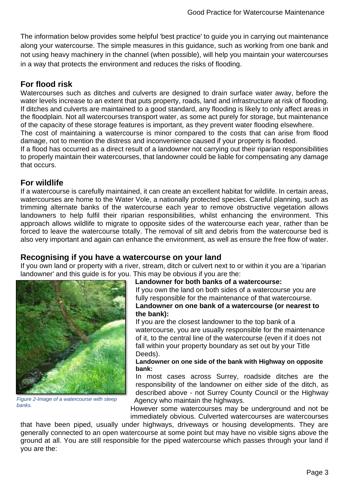The information below provides some helpful 'best practice' to guide you in carrying out maintenance along your watercourse. The simple measures in this guidance, such as working from one bank and not using heavy machinery in the channel (when possible), will help you maintain your watercourses in a way that protects the environment and reduces the risks of flooding.

# **For flood risk**

Watercourses such as ditches and culverts are designed to drain surface water away, before the water levels increase to an extent that puts property, roads, land and infrastructure at risk of flooding. If ditches and culverts are maintained to a good standard, any flooding is likely to only affect areas in the floodplain. Not all watercourses transport water, as some act purely for storage, but maintenance of the capacity of these storage features is important, as they prevent water flooding elsewhere.

The cost of maintaining a watercourse is minor compared to the costs that can arise from flood damage, not to mention the distress and inconvenience caused if your property is flooded.

If a flood has occurred as a direct result of a landowner not carrying out their riparian responsibilities to properly maintain their watercourses, that landowner could be liable for compensating any damage that occurs.

## **For wildlife**

If a watercourse is carefully maintained, it can create an excellent habitat for wildlife. In certain areas, watercourses are home to the Water Vole, a nationally protected species. Careful planning, such as trimming alternate banks of the watercourse each year to remove obstructive vegetation allows landowners to help fulfil their riparian responsibilities, whilst enhancing the environment. This approach allows wildlife to migrate to opposite sides of the watercourse each year, rather than be forced to leave the watercourse totally. The removal of silt and debris from the watercourse bed is also very important and again can enhance the environment, as well as ensure the free flow of water.

#### **Recognising if you have a watercourse on your land**

If you own land or property with a river, stream, ditch or culvert next to or within it you are a 'riparian landowner' and this guide is for you. This may be obvious if you are the:



*Figure 2-Image of a watercourse with steep banks.*

#### **Landowner for both banks of a watercourse:**

If you own the land on both sides of a watercourse you are fully responsible for the maintenance of that watercourse. **Landowner on one bank of a watercourse (or nearest to the bank):**

If you are the closest landowner to the top bank of a watercourse, you are usually responsible for the maintenance of it, to the central line of the watercourse (even if it does not fall within your property boundary as set out by your Title Deeds).

#### **Landowner on one side of the bank with Highway on opposite bank:**

In most cases across Surrey, roadside ditches are the responsibility of the landowner on either side of the ditch, as described above - not Surrey County Council or the Highway Agency who maintain the highways.

However some watercourses may be underground and not be immediately obvious. Culverted watercourses are watercourses

that have been piped, usually under highways, driveways or housing developments. They are generally connected to an open watercourse at some point but may have no visible signs above the ground at all. You are still responsible for the piped watercourse which passes through your land if you are the: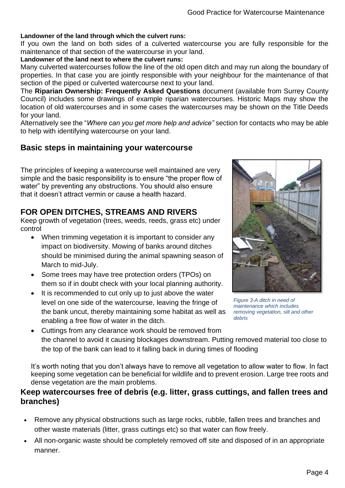#### **Landowner of the land through which the culvert runs:**

If you own the land on both sides of a culverted watercourse you are fully responsible for the maintenance of that section of the watercourse in your land.

#### **Landowner of the land next to where the culvert runs:**

Many culverted watercourses follow the line of the old open ditch and may run along the boundary of properties. In that case you are jointly responsible with your neighbour for the maintenance of that section of the piped or culverted watercourse next to your land.

The **Riparian Ownership: Frequently Asked Questions** document (available from Surrey County Council) includes some drawings of example riparian watercourses. Historic Maps may show the location of old watercourses and in some cases the watercourses may be shown on the Title Deeds for your land.

Alternatively see the "*Where can you get more help and advice"* section for contacts who may be able to help with identifying watercourse on your land.

## **Basic steps in maintaining your watercourse**

The principles of keeping a watercourse well maintained are very simple and the basic responsibility is to ensure "the proper flow of water" by preventing any obstructions. You should also ensure that it doesn't attract vermin or cause a health hazard.

## **FOR OPEN DITCHES, STREAMS AND RIVERS**

Keep growth of vegetation (trees, weeds, reeds, grass etc) under control

- When trimming vegetation it is important to consider any impact on biodiversity. Mowing of banks around ditches should be minimised during the animal spawning season of March to mid-July.
- Some trees may have tree protection orders (TPOs) on them so if in doubt check with your local planning authority.
- It is recommended to cut only up to just above the water level on one side of the watercourse, leaving the fringe of the bank uncut, thereby maintaining some habitat as well as enabling a free flow of water in the ditch.



*Figure 3-A ditch in need of maintenance which includes removing vegetation, silt and other debris*

• Cuttings from any clearance work should be removed from the channel to avoid it causing blockages downstream. Putting removed material too close to the top of the bank can lead to it falling back in during times of flooding

It's worth noting that you don't always have to remove all vegetation to allow water to flow. In fact keeping some vegetation can be beneficial for wildlife and to prevent erosion. Large tree roots and dense vegetation are the main problems.

#### **Keep watercourses free of debris (e.g. litter, grass cuttings, and fallen trees and branches)**

- Remove any physical obstructions such as large rocks, rubble, fallen trees and branches and other waste materials (litter, grass cuttings etc) so that water can flow freely.
- All non-organic waste should be completely removed off site and disposed of in an appropriate manner.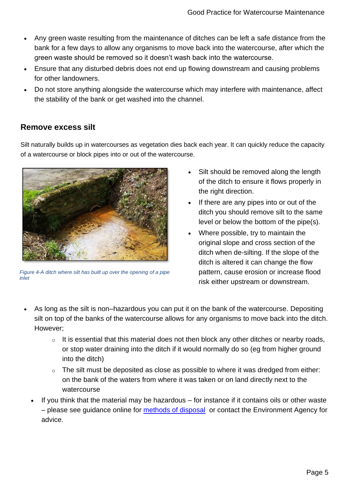- Any green waste resulting from the maintenance of ditches can be left a safe distance from the bank for a few days to allow any organisms to move back into the watercourse, after which the green waste should be removed so it doesn't wash back into the watercourse.
- Ensure that any disturbed debris does not end up flowing downstream and causing problems for other landowners.
- Do not store anything alongside the watercourse which may interfere with maintenance, affect the stability of the bank or get washed into the channel.

## **Remove excess silt**

Silt naturally builds up in watercourses as vegetation dies back each year. It can quickly reduce the capacity of a watercourse or block pipes into or out of the watercourse.



*Figure 4-A ditch where silt has built up over the opening of a pipe inlet*

- Silt should be removed along the length of the ditch to ensure it flows properly in the right direction.
- If there are any pipes into or out of the ditch you should remove silt to the same level or below the bottom of the pipe(s).
- Where possible, try to maintain the original slope and cross section of the ditch when de-silting. If the slope of the ditch is altered it can change the flow pattern, cause erosion or increase flood risk either upstream or downstream.
- As long as the silt is non-hazardous you can put it on the bank of the watercourse. Depositing silt on top of the banks of the watercourse allows for any organisms to move back into the ditch. However;
	- $\circ$  It is essential that this material does not then block any other ditches or nearby roads, or stop water draining into the ditch if it would normally do so (eg from higher ground into the ditch)
	- $\circ$  The silt must be deposited as close as possible to where it was dredged from either: on the bank of the waters from where it was taken or on land directly next to the watercourse
	- If you think that the material may be hazardous  $-$  for instance if it contains oils or other waste – please see guidance online for [methods of disposal](https://www.gov.uk/waste-exemptions-disposing-of-waste) or contact the Environment Agency for advice.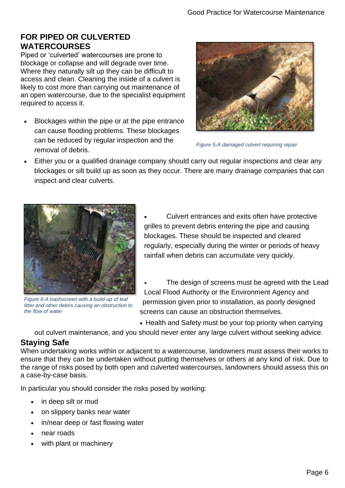## **FOR PIPED OR CULVERTED WATERCOURSES**

Piped or 'culverted' watercourses are prone to blockage or collapse and will degrade over time. Where they naturally silt up they can be difficult to access and clean. Cleaning the inside of a culvert is likely to cost more than carrying out maintenance of an open watercourse, due to the specialist equipment required to access it.

• Blockages within the pipe or at the pipe entrance can cause flooding problems. These blockages can be reduced by regular inspection and the removal of debris.



*Figure 5-A damaged culvert requiring repair*

• Either you or a qualified drainage company should carry out regular inspections and clear any blockages or silt build up as soon as they occur. There are many drainage companies that can inspect and clear culverts.



*Figure 6-A trashscreen with a build-up of leaf litter and other debris causing an obstruction to the flow of water*

• Culvert entrances and exits often have protective grilles to prevent debris entering the pipe and causing blockages. These should be inspected and cleared regularly, especially during the winter or periods of heavy rainfall when debris can accumulate very quickly.

The design of screens must be agreed with the Lead Local Flood Authority or the Environment Agency and permission given prior to installation, as poorly designed screens can cause an obstruction themselves.

• Health and Safety must be your top priority when carrying

out culvert maintenance, and you should never enter any large culvert without seeking advice.

# **Staying Safe**

When undertaking works within or adjacent to a watercourse, landowners must assess their works to ensure that they can be undertaken without putting themselves or others at any kind of risk. Due to the range of risks posed by both open and culverted watercourses, landowners should assess this on a case-by-case basis.

In particular you should consider the risks posed by working:

- in deep silt or mud
- on slippery banks near water
- in/near deep or fast flowing water
- near roads
- with plant or machinery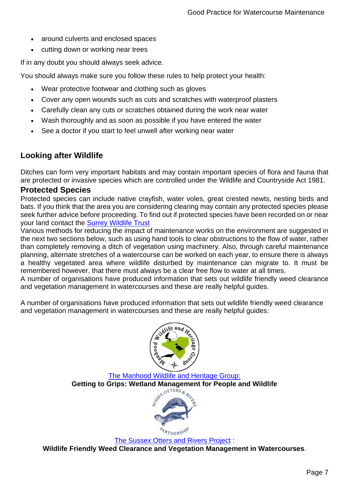- around culverts and enclosed spaces
- cutting down or working near trees

If in any doubt you should always seek advice.

You should always make sure you follow these rules to help protect your health:

- Wear protective footwear and clothing such as gloves
- Cover any open wounds such as cuts and scratches with waterproof plasters
- Carefully clean any cuts or scratches obtained during the work near water
- Wash thoroughly and as soon as possible if you have entered the water
- See a doctor if you start to feel unwell after working near water

## **Looking after Wildlife**

Ditches can form very important habitats and may contain important species of flora and fauna that are protected or invasive species which are controlled under the Wildlife and Countryside Act 1981.

#### **Protected Species**

Protected species can include native crayfish, water voles, great crested newts, nesting birds and bats. If you think that the area you are considering clearing may contain any protected species please seek further advice before proceeding. To find out if protected species have been recorded on or near your land contact the [Surrey Wildlife Trust](http://www.surreywildlifetrust.org/)

Various methods for reducing the impact of maintenance works on the environment are suggested in the next two sections below, such as using hand tools to clear obstructions to the flow of water, rather than completely removing a ditch of vegetation using machinery. Also, through careful maintenance planning, alternate stretches of a watercourse can be worked on each year, to ensure there is always a healthy vegetated area where wildlife disturbed by maintenance can migrate to. It must be remembered however, that there must always be a clear free flow to water at all times.

A number of organisations have produced information that sets out wildlife friendly weed clearance and vegetation management in watercourses and these are really helpful guides.

A number of organisations have produced information that sets out wildlife friendly weed clearance and vegetation management in watercourses and these are really helpful guides:



#### [The Manhood Wildlife and Heritage Group:](http://mwhg.org.uk/getting-to-grips-wetland-management-for-people-and-wildlife/) **Getting to Grips: Wetland Management for People and Wildlife**



[The Sussex Otters and Rivers Project](https://www.oart.org.uk/wp-content/uploads/2015/06/Sussex-Otters-Rivers-Project-River-Restoration-for-Landowners.pdf) : **Wildlife Friendly Weed Clearance and Vegetation Management in Watercourses**.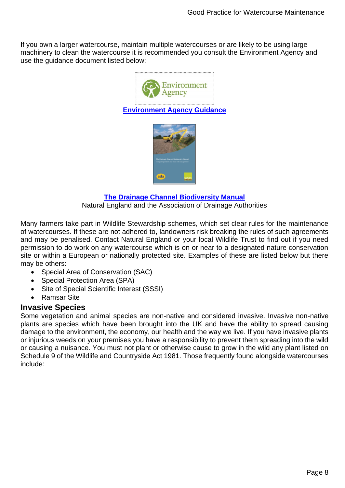If you own a larger watercourse, maintain multiple watercourses or are likely to be using large machinery to clean the watercourse it is recommended you consult the Environment Agency and use the guidance document listed below:



**[Environment Agency Guidance](https://www.gov.uk/guidance/owning-a-watercourse#get-permission)**



#### **[The Drainage Channel Biodiversity Manual](https://webarchive.nationalarchives.gov.uk/20150902174754/http:/publications.naturalengland.org.uk/publication/50004)**

Natural England and the Association of Drainage Authorities

Many farmers take part in Wildlife Stewardship schemes, which set clear rules for the maintenance of watercourses. If these are not adhered to, landowners risk breaking the rules of such agreements and may be penalised. Contact Natural England or your local Wildlife Trust to find out if you need permission to do work on any watercourse which is on or near to a designated nature conservation site or within a European or nationally protected site. Examples of these are listed below but there may be others:

- Special Area of Conservation (SAC)
- Special Protection Area (SPA)
- Site of Special Scientific Interest (SSSI)
- Ramsar Site

#### **Invasive Species**

Some vegetation and animal species are non-native and considered invasive. Invasive non-native plants are species which have been brought into the UK and have the ability to spread causing damage to the environment, the economy, our health and the way we live. If you have invasive plants or injurious weeds on your premises you have a responsibility to prevent them spreading into the wild or causing a nuisance. You must not plant or otherwise cause to grow in the wild any plant listed on Schedule 9 of the Wildlife and Countryside Act 1981. Those frequently found alongside watercourses include: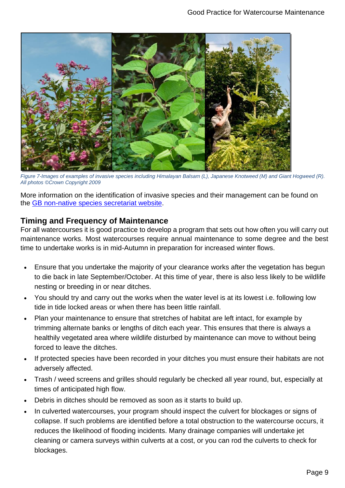

*Figure 7-Images of examples of invasive species including Himalayan Balsam (L), Japanese Knotweed (M) and Giant Hogweed (R). All photos ©Crown Copyright 2009*

More information on the identification of invasive species and their management can be found on the [GB non-native species secretariat website.](http://www.nonnativespecies.org/)

## **Timing and Frequency of Maintenance**

For all watercourses it is good practice to develop a program that sets out how often you will carry out maintenance works. Most watercourses require annual maintenance to some degree and the best time to undertake works is in mid-Autumn in preparation for increased winter flows.

- Ensure that you undertake the majority of your clearance works after the vegetation has begun to die back in late September/October. At this time of year, there is also less likely to be wildlife nesting or breeding in or near ditches.
- You should try and carry out the works when the water level is at its lowest i.e. following low tide in tide locked areas or when there has been little rainfall.
- Plan your maintenance to ensure that stretches of habitat are left intact, for example by trimming alternate banks or lengths of ditch each year. This ensures that there is always a healthily vegetated area where wildlife disturbed by maintenance can move to without being forced to leave the ditches.
- If protected species have been recorded in your ditches you must ensure their habitats are not adversely affected.
- Trash / weed screens and grilles should regularly be checked all year round, but, especially at times of anticipated high flow.
- Debris in ditches should be removed as soon as it starts to build up.
- In culverted watercourses, your program should inspect the culvert for blockages or signs of collapse. If such problems are identified before a total obstruction to the watercourse occurs, it reduces the likelihood of flooding incidents. Many drainage companies will undertake jet cleaning or camera surveys within culverts at a cost, or you can rod the culverts to check for blockages.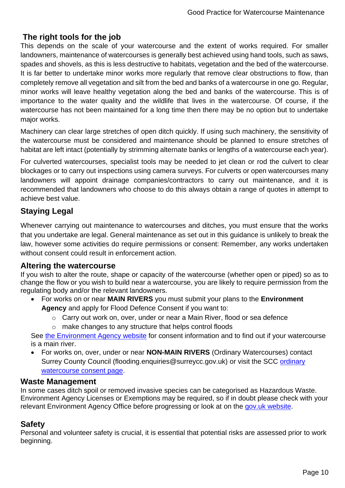## **The right tools for the job**

This depends on the scale of your watercourse and the extent of works required. For smaller landowners, maintenance of watercourses is generally best achieved using hand tools, such as saws, spades and shovels, as this is less destructive to habitats, vegetation and the bed of the watercourse. It is far better to undertake minor works more regularly that remove clear obstructions to flow, than completely remove all vegetation and silt from the bed and banks of a watercourse in one go. Regular, minor works will leave healthy vegetation along the bed and banks of the watercourse. This is of importance to the water quality and the wildlife that lives in the watercourse. Of course, if the watercourse has not been maintained for a long time then there may be no option but to undertake major works.

Machinery can clear large stretches of open ditch quickly. If using such machinery, the sensitivity of the watercourse must be considered and maintenance should be planned to ensure stretches of habitat are left intact (potentially by strimming alternate banks or lengths of a watercourse each year).

For culverted watercourses, specialist tools may be needed to jet clean or rod the culvert to clear blockages or to carry out inspections using camera surveys. For culverts or open watercourses many landowners will appoint drainage companies/contractors to carry out maintenance, and it is recommended that landowners who choose to do this always obtain a range of quotes in attempt to achieve best value.

# **Staying Legal**

Whenever carrying out maintenance to watercourses and ditches, you must ensure that the works that you undertake are legal. General maintenance as set out in this guidance is unlikely to break the law, however some activities do require permissions or consent: Remember, any works undertaken without consent could result in enforcement action.

#### **Altering the watercourse**

If you wish to alter the route, shape or capacity of the watercourse (whether open or piped) so as to change the flow or you wish to build near a watercourse, you are likely to require permission from the regulating body and/or the relevant landowners.

- For works on or near **MAIN RIVERS** you must submit your plans to the **Environment Agency** and apply for Flood Defence Consent if you want to:
	- o Carry out work on, over, under or near a Main River, flood or sea defence
	- o make changes to any structure that helps control floods

See the Environment Agency [website](https://www.gov.uk/guidance/flood-risk-activities-environmental-permits) for consent information and to find out if your watercourse is a main river.

• For works on, over, under or near **NON-MAIN RIVERS** (Ordinary Watercourses) contact Surrey County Council (flooding.enquiries@surreycc.gov.uk) or visit the SCC [ordinary](file://///CLS-FLS-04.surreycc.local/VOL3/mlabf4/team/com/team/SC%20Asset%20Planning%20Group/SNR/2-SNR/Project/Webpage%20update/Accessibility%20work%20-%20June%202020/ready%20for%20upload/Done/ordinary%20watercourse%20consent%20page)  [watercourse consent page.](file://///CLS-FLS-04.surreycc.local/VOL3/mlabf4/team/com/team/SC%20Asset%20Planning%20Group/SNR/2-SNR/Project/Webpage%20update/Accessibility%20work%20-%20June%202020/ready%20for%20upload/Done/ordinary%20watercourse%20consent%20page)

#### **Waste Management**

In some cases ditch spoil or removed invasive species can be categorised as Hazardous Waste. Environment Agency Licenses or Exemptions may be required, so if in doubt please check with your relevant Environment Agency Office before progressing or look at on the [gov.uk website.](https://www.gov.uk/waste-exemptions-disposing-of-waste.)

## **Safety**

Personal and volunteer safety is crucial, it is essential that potential risks are assessed prior to work beginning.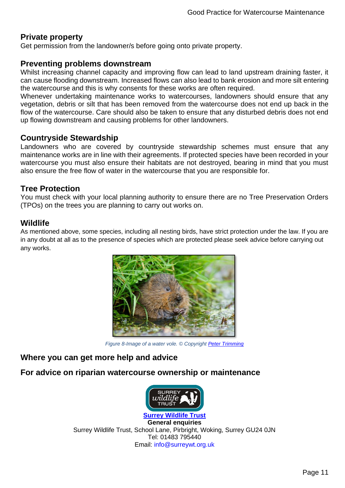## **Private property**

Get permission from the landowner/s before going onto private property.

#### **Preventing problems downstream**

Whilst increasing channel capacity and improving flow can lead to land upstream draining faster, it can cause flooding downstream. Increased flows can also lead to bank erosion and more silt entering the watercourse and this is why consents for these works are often required.

Whenever undertaking maintenance works to watercourses, landowners should ensure that any vegetation, debris or silt that has been removed from the watercourse does not end up back in the flow of the watercourse. Care should also be taken to ensure that any disturbed debris does not end up flowing downstream and causing problems for other landowners.

#### **Countryside Stewardship**

Landowners who are covered by countryside stewardship schemes must ensure that any maintenance works are in line with their agreements. If protected species have been recorded in your watercourse you must also ensure their habitats are not destroyed, bearing in mind that you must also ensure the free flow of water in the watercourse that you are responsible for.

## **Tree Protection**

You must check with your local planning authority to ensure there are no Tree Preservation Orders (TPOs) on the trees you are planning to carry out works on.

## **Wildlife**

As mentioned above, some species, including all nesting birds, have strict protection under the law. If you are in any doubt at all as to the presence of species which are protected please seek advice before carrying out any works.



*Figure 8-Image of a water vole. © Copyright [Peter Trimming](http://www.geograph.org.uk/profile/34298)* 

## **Where you can get more help and advice**

## **For advice on riparian watercourse ownership or maintenance**